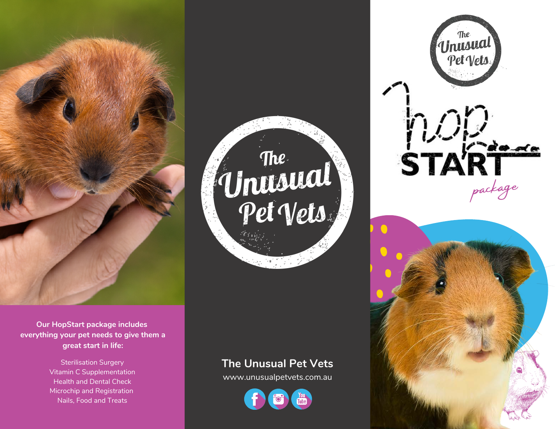

**Our HopStart package includes everything your pet needs to give them a great start in life:**

> Sterilisation Surgery Vitamin C Supplementation Health and Dental Check Microchip and Registration Nails, Food and Treats



#### **The Unusual Pet Vets**

www.unusualpetvets.com.au